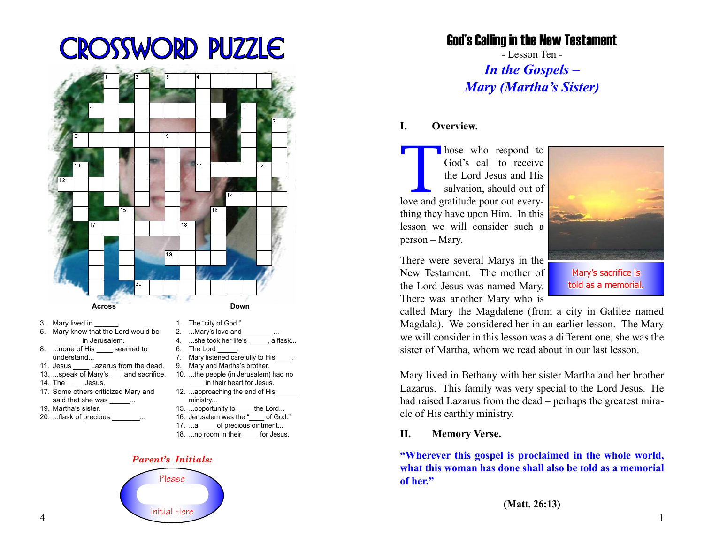# Crossword Puzzle



- 3. Mary lived in
- 5. Mary knew that the Lord would be \_\_\_\_\_\_\_ in Jerusalem.
- 8. ...none of His seemed to understand...
- 11. Jesus Lazarus from the dead.
- 13. ...speak of Mary's and sacrifice.
- 14. The \_\_\_\_ Jesus.
- 17. Some others criticized Mary and said that she was
- 19. Martha's sister.
- 20. ...flask of precious
- 1. The "city of God."
- 2. ...Mary's love and
- 4. ...she took her life's \_\_\_\_\_, a flask...
- 6. The Lord
- 7. Mary listened carefully to His
- 9. Mary and Martha's brother. 10. ...the people (in Jerusalem) had no \_\_\_\_ in their heart for Jesus.
- 12. ...approaching the end of His ministry...
- 15. ...opportunity to the Lord...
- 16. Jerusalem was the " \_\_\_ of God."
- 17. ...a of precious ointment...
- 18. ...no room in their for Jesus.

#### *Parent's Initials:*



God's Calling in the New Testament

- Lesson Ten - *In the Gospels – Mary (Martha's Sister)*

# **I. Overview.**

Those who respond to God's call to receive the Lord Jesus and His salvation, should out of love and gratitude pour out every-God's call to receive the Lord Jesus and His salvation, should out of thing they have upon Him. In this lesson we will consider such a person – Mary.

There were several Marys in the New Testament. The mother of the Lord Jesus was named Mary. There was another Mary who is



Mary's sacrifice is told as a memorial.

called Mary the Magdalene (from a city in Galilee named Magdala). We considered her in an earlier lesson. The Mary we will consider in this lesson was a different one, she was the sister of Martha, whom we read about in our last lesson.

Mary lived in Bethany with her sister Martha and her brother Lazarus. This family was very special to the Lord Jesus. He had raised Lazarus from the dead – perhaps the greatest miracle of His earthly ministry.

### **II. Memory Verse.**

**"Wherever this gospel is proclaimed in the whole world, what this woman has done shall also be told as a memorial of her."**

**(Matt. 26:13)**